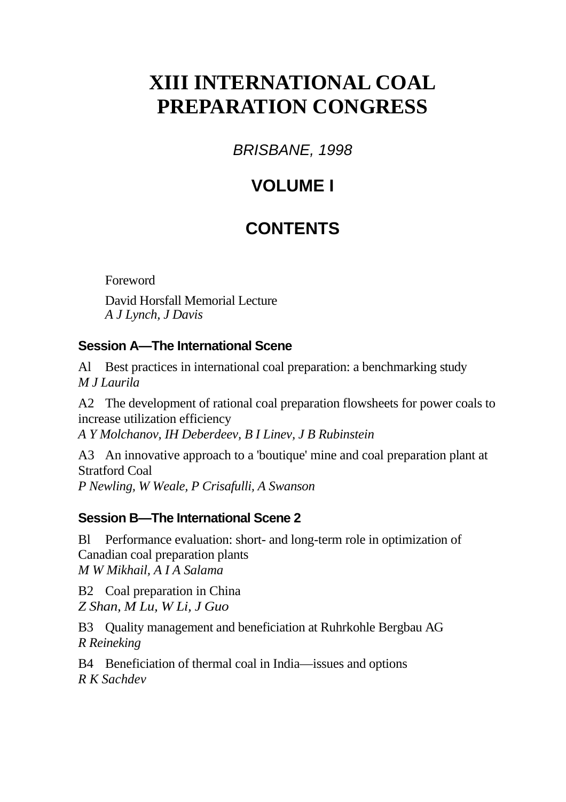# **XIII INTERNATIONAL COAL PREPARATION CONGRESS**

*BRISBANE, 1998* 

## **VOLUME I**

## **CONTENTS**

Foreword

David Horsfall Memorial Lecture *A J Lynch, J Davis* 

## **Session A—The International Scene**

Al Best practices in international coal preparation: a benchmarking study *M J Laurila* 

A2 The development of rational coal preparation flowsheets for power coals to increase utilization efficiency

*A Y Molchanov, IH Deberdeev, B I Linev, J B Rubinstein* 

A3 An innovative approach to a 'boutique' mine and coal preparation plant at Stratford Coal *P Newling, W Weale, P Crisafulli, A Swanson* 

## **Session B—The International Scene 2**

Bl Performance evaluation: short- and long-term role in optimization of Canadian coal preparation plants *M W Mikhail, A I A Salama* 

B2 Coal preparation in China *Z Shan, M Lu, W Li, J Guo*

B3 Quality management and beneficiation at Ruhrkohle Bergbau AG *R Reineking* 

B4 Beneficiation of thermal coal in India—issues and options *R K Sachdev*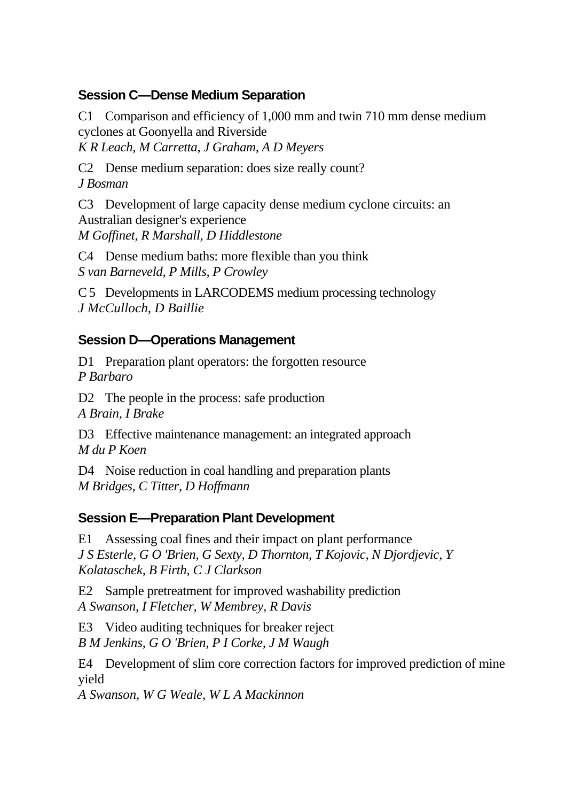#### **Session C—Dense Medium Separation**

C1 Comparison and efficiency of 1,000 mm and twin 710 mm dense medium cyclones at Goonyella and Riverside *K R Leach, M Carretta, J Graham, A D Meyers* 

C2 Dense medium separation: does size really count? *J Bosman* 

C3 Development of large capacity dense medium cyclone circuits: an Australian designer's experience *M Goffinet, R Marshall, D Hiddlestone* 

C4 Dense medium baths: more flexible than you think *S van Barneveld, P Mills, P Crowley* 

C 5 Developments in LARCODEMS medium processing technology *J McCulloch, D Baillie*

#### **Session D—Operations Management**

D1 Preparation plant operators: the forgotten resource *P Barbaro* 

D<sub>2</sub> The people in the process: safe production *A Brain, I Brake* 

D3 Effective maintenance management: an integrated approach *M du P Koen* 

D4 Noise reduction in coal handling and preparation plants *M Bridges, C Titter, D Hoffmann* 

#### **Session E—Preparation Plant Development**

E1 Assessing coal fines and their impact on plant performance *J S Esterle, G O 'Brien, G Sexty, D Thornton, T Kojovic, N Djordjevic, Y Kolataschek, B Firth, C J Clarkson* 

E2 Sample pretreatment for improved washability prediction *A Swanson, I Fletcher, W Membrey, R Davis* 

E3 Video auditing techniques for breaker reject *B M Jenkins, G O 'Brien, P I Corke, J M Waugh* 

E4 Development of slim core correction factors for improved prediction of mine yield

*A Swanson, W G Weale, W L A Mackinnon*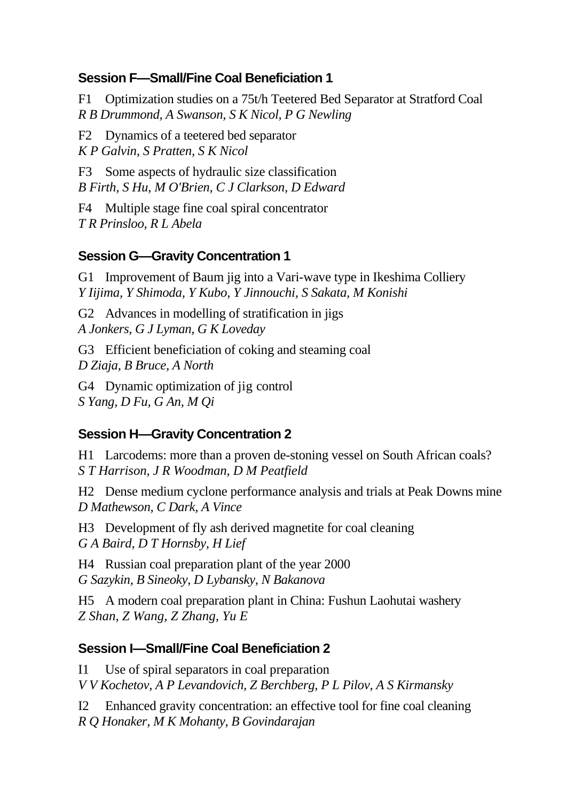#### **Session F—Small/Fine Coal Beneficiation 1**

F1 Optimization studies on a 75t/h Teetered Bed Separator at Stratford Coal *R B Drummond, A Swanson, S K Nicol, P G Newling* 

F2 Dynamics of a teetered bed separator *K P Galvin, S Pratten, S K Nicol* 

F3 Some aspects of hydraulic size classification *B Firth, S Hu, M O'Brien, C J Clarkson, D Edward* 

F4 Multiple stage fine coal spiral concentrator *T R Prinsloo, R L Abela* 

#### **Session G—Gravity Concentration 1**

G1 Improvement of Baum jig into a Vari-wave type in Ikeshima Colliery *Y Iijima, Y Shimoda, Y Kubo, Y Jinnouchi, S Sakata, M Konishi* 

G2 Advances in modelling of stratification in jigs *A Jonkers, G J Lyman, G K Loveday* 

G3 Efficient beneficiation of coking and steaming coal *D Ziaja, B Bruce, A North* 

G4 Dynamic optimization of jig control *S Yang, D Fu, G An, M Qi* 

### **Session H—Gravity Concentration 2**

H1 Larcodems: more than a proven de-stoning vessel on South African coals? *S T Harrison, J R Woodman, D M Peatfield* 

H2 Dense medium cyclone performance analysis and trials at Peak Downs mine *D Mathewson, C Dark, A Vince* 

H3 Development of fly ash derived magnetite for coal cleaning *G A Baird, D T Hornsby, H Lief* 

H4 Russian coal preparation plant of the year 2000 *G Sazykin, B Sineoky, D Lybansky, N Bakanova* 

H5 A modern coal preparation plant in China: Fushun Laohutai washery *Z Shan, Z Wang, Z Zhang, Yu E*

### **Session I—Small/Fine Coal Beneficiation 2**

I1 Use of spiral separators in coal preparation *V V Kochetov, A P Levandovich, Z Berchberg, P L Pilov, A S Kirmansky* 

I2 Enhanced gravity concentration: an effective tool for fine coal cleaning *R Q Honaker, M K Mohanty, B Govindarajan*